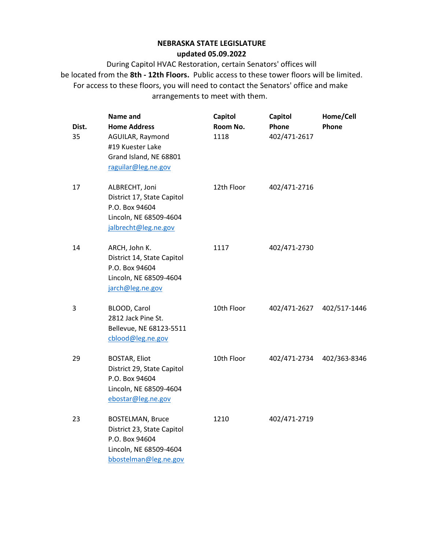| Dist.<br>35 | Name and<br><b>Home Address</b><br>AGUILAR, Raymond<br>#19 Kuester Lake<br>Grand Island, NE 68801<br>raguilar@leg.ne.gov   | Capitol<br>Room No.<br>1118 | Capitol<br>Phone<br>402/471-2617 | Home/Cell<br>Phone |
|-------------|----------------------------------------------------------------------------------------------------------------------------|-----------------------------|----------------------------------|--------------------|
| 17          | ALBRECHT, Joni<br>District 17, State Capitol<br>P.O. Box 94604<br>Lincoln, NE 68509-4604<br>jalbrecht@leg.ne.gov           | 12th Floor                  | 402/471-2716                     |                    |
| 14          | ARCH, John K.<br>District 14, State Capitol<br>P.O. Box 94604<br>Lincoln, NE 68509-4604<br>jarch@leg.ne.gov                | 1117                        | 402/471-2730                     |                    |
| 3           | BLOOD, Carol<br>2812 Jack Pine St.<br>Bellevue, NE 68123-5511<br>cblood@leg.ne.gov                                         | 10th Floor                  | 402/471-2627                     | 402/517-1446       |
| 29          | <b>BOSTAR, Eliot</b><br>District 29, State Capitol<br>P.O. Box 94604<br>Lincoln, NE 68509-4604<br>ebostar@leg.ne.gov       | 10th Floor                  | 402/471-2734                     | 402/363-8346       |
| 23          | <b>BOSTELMAN, Bruce</b><br>District 23, State Capitol<br>P.O. Box 94604<br>Lincoln, NE 68509-4604<br>bbostelman@leg.ne.gov | 1210                        | 402/471-2719                     |                    |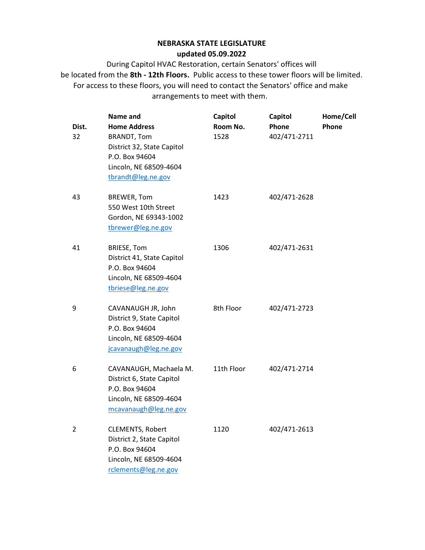| Dist.<br>32    | Name and<br><b>Home Address</b><br><b>BRANDT, Tom</b><br>District 32, State Capitol<br>P.O. Box 94604<br>Lincoln, NE 68509-4604<br>tbrandt@leg.ne.gov | <b>Capitol</b><br>Room No.<br>1528 | Capitol<br>Phone<br>402/471-2711 | Home/Cell<br>Phone |
|----------------|-------------------------------------------------------------------------------------------------------------------------------------------------------|------------------------------------|----------------------------------|--------------------|
| 43             | <b>BREWER, Tom</b><br>550 West 10th Street<br>Gordon, NE 69343-1002<br>tbrewer@leg.ne.gov                                                             | 1423                               | 402/471-2628                     |                    |
| 41             | <b>BRIESE, Tom</b><br>District 41, State Capitol<br>P.O. Box 94604<br>Lincoln, NE 68509-4604<br>tbriese@leg.ne.gov                                    | 1306                               | 402/471-2631                     |                    |
| 9              | CAVANAUGH JR, John<br>District 9, State Capitol<br>P.O. Box 94604<br>Lincoln, NE 68509-4604<br>jcavanaugh@leg.ne.gov                                  | 8th Floor                          | 402/471-2723                     |                    |
| 6              | CAVANAUGH, Machaela M.<br>District 6, State Capitol<br>P.O. Box 94604<br>Lincoln, NE 68509-4604<br>mcavanaugh@leg.ne.gov                              | 11th Floor                         | 402/471-2714                     |                    |
| $\overline{2}$ | <b>CLEMENTS, Robert</b><br>District 2, State Capitol<br>P.O. Box 94604<br>Lincoln, NE 68509-4604<br>rclements@leg.ne.gov                              | 1120                               | 402/471-2613                     |                    |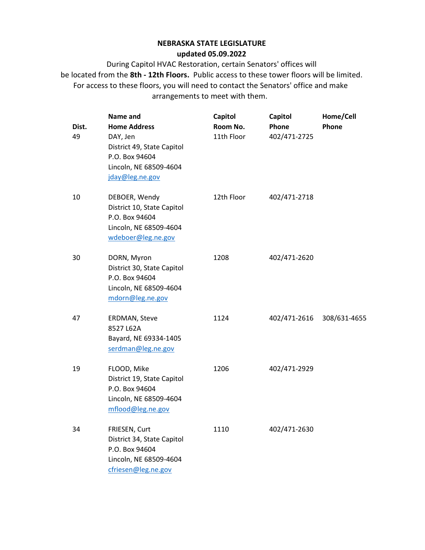| Dist.<br>49 | Name and<br><b>Home Address</b><br>DAY, Jen<br>District 49, State Capitol<br>P.O. Box 94604<br>Lincoln, NE 68509-4604<br>jday@leg.ne.gov | Capitol<br>Room No.<br>11th Floor | Capitol<br>Phone<br>402/471-2725 | Home/Cell<br>Phone |
|-------------|------------------------------------------------------------------------------------------------------------------------------------------|-----------------------------------|----------------------------------|--------------------|
| 10          | DEBOER, Wendy<br>District 10, State Capitol<br>P.O. Box 94604<br>Lincoln, NE 68509-4604<br>wdeboer@leg.ne.gov                            | 12th Floor                        | 402/471-2718                     |                    |
| 30          | DORN, Myron<br>District 30, State Capitol<br>P.O. Box 94604<br>Lincoln, NE 68509-4604<br>mdorn@leg.ne.gov                                | 1208                              | 402/471-2620                     |                    |
| 47          | <b>ERDMAN, Steve</b><br>8527 L62A<br>Bayard, NE 69334-1405<br>serdman@leg.ne.gov                                                         | 1124                              | 402/471-2616                     | 308/631-4655       |
| 19          | FLOOD, Mike<br>District 19, State Capitol<br>P.O. Box 94604<br>Lincoln, NE 68509-4604<br>mflood@leg.ne.gov                               | 1206                              | 402/471-2929                     |                    |
| 34          | FRIESEN, Curt<br>District 34, State Capitol<br>P.O. Box 94604<br>Lincoln, NE 68509-4604<br>cfriesen@leg.ne.gov                           | 1110                              | 402/471-2630                     |                    |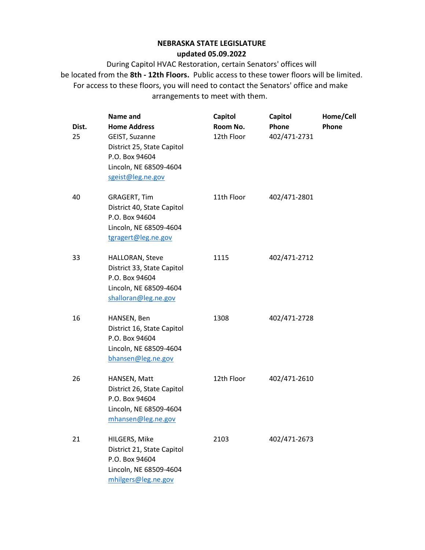| Dist.<br>25 | Name and<br><b>Home Address</b><br>GEIST, Suzanne<br>District 25, State Capitol<br>P.O. Box 94604<br>Lincoln, NE 68509-4604<br>sgeist@leg.ne.gov | Capitol<br>Room No.<br>12th Floor | Capitol<br>Phone<br>402/471-2731 | Home/Cell<br>Phone |
|-------------|--------------------------------------------------------------------------------------------------------------------------------------------------|-----------------------------------|----------------------------------|--------------------|
| 40          | <b>GRAGERT, Tim</b><br>District 40, State Capitol<br>P.O. Box 94604<br>Lincoln, NE 68509-4604<br>tgragert@leg.ne.gov                             | 11th Floor                        | 402/471-2801                     |                    |
| 33          | HALLORAN, Steve<br>District 33, State Capitol<br>P.O. Box 94604<br>Lincoln, NE 68509-4604<br>shalloran@leg.ne.gov                                | 1115                              | 402/471-2712                     |                    |
| 16          | HANSEN, Ben<br>District 16, State Capitol<br>P.O. Box 94604<br>Lincoln, NE 68509-4604<br>bhansen@leg.ne.gov                                      | 1308                              | 402/471-2728                     |                    |
| 26          | HANSEN, Matt<br>District 26, State Capitol<br>P.O. Box 94604<br>Lincoln, NE 68509-4604<br>mhansen@leg.ne.gov                                     | 12th Floor                        | 402/471-2610                     |                    |
| 21          | HILGERS, Mike<br>District 21, State Capitol<br>P.O. Box 94604<br>Lincoln, NE 68509-4604<br>mhilgers@leg.ne.gov                                   | 2103                              | 402/471-2673                     |                    |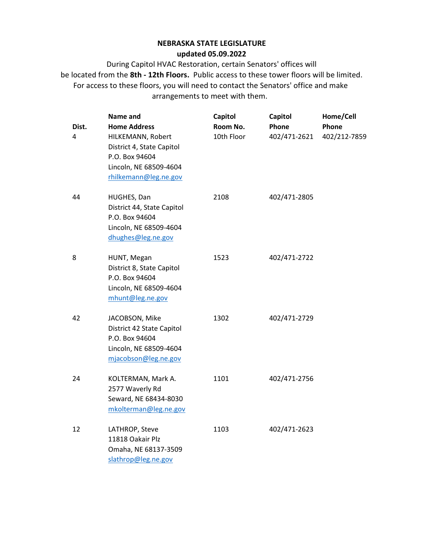| Dist.<br>4 | Name and<br><b>Home Address</b><br>HILKEMANN, Robert<br>District 4, State Capitol<br>P.O. Box 94604<br>Lincoln, NE 68509-4604<br>rhilkemann@leg.ne.gov | Capitol<br>Room No.<br>10th Floor | Capitol<br>Phone<br>402/471-2621 | Home/Cell<br>Phone<br>402/212-7859 |
|------------|--------------------------------------------------------------------------------------------------------------------------------------------------------|-----------------------------------|----------------------------------|------------------------------------|
| 44         | HUGHES, Dan<br>District 44, State Capitol<br>P.O. Box 94604<br>Lincoln, NE 68509-4604<br>dhughes@leg.ne.gov                                            | 2108                              | 402/471-2805                     |                                    |
| 8          | HUNT, Megan<br>District 8, State Capitol<br>P.O. Box 94604<br>Lincoln, NE 68509-4604<br>mhunt@leg.ne.gov                                               | 1523                              | 402/471-2722                     |                                    |
| 42         | JACOBSON, Mike<br>District 42 State Capitol<br>P.O. Box 94604<br>Lincoln, NE 68509-4604<br>mjacobson@leg.ne.gov                                        | 1302                              | 402/471-2729                     |                                    |
| 24         | KOLTERMAN, Mark A.<br>2577 Waverly Rd<br>Seward, NE 68434-8030<br>mkolterman@leg.ne.gov                                                                | 1101                              | 402/471-2756                     |                                    |
| 12         | LATHROP, Steve<br>11818 Oakair Plz<br>Omaha, NE 68137-3509<br>slathrop@leg.ne.gov                                                                      | 1103                              | 402/471-2623                     |                                    |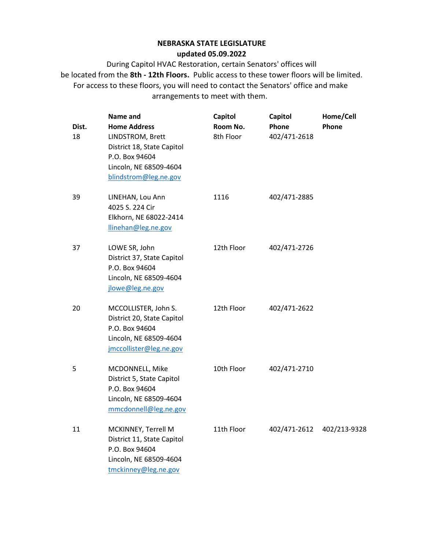| Dist.<br>18 | Name and<br><b>Home Address</b><br>LINDSTROM, Brett<br>District 18, State Capitol<br>P.O. Box 94604<br>Lincoln, NE 68509-4604<br>blindstrom@leg.ne.gov | Capitol<br>Room No.<br>8th Floor | Capitol<br>Phone<br>402/471-2618 | Home/Cell<br>Phone |
|-------------|--------------------------------------------------------------------------------------------------------------------------------------------------------|----------------------------------|----------------------------------|--------------------|
| 39          | LINEHAN, Lou Ann<br>4025 S. 224 Cir<br>Elkhorn, NE 68022-2414<br>llinehan@leg.ne.gov                                                                   | 1116                             | 402/471-2885                     |                    |
| 37          | LOWE SR, John<br>District 37, State Capitol<br>P.O. Box 94604<br>Lincoln, NE 68509-4604<br>jlowe@leg.ne.gov                                            | 12th Floor                       | 402/471-2726                     |                    |
| 20          | MCCOLLISTER, John S.<br>District 20, State Capitol<br>P.O. Box 94604<br>Lincoln, NE 68509-4604<br>jmccollister@leg.ne.gov                              | 12th Floor                       | 402/471-2622                     |                    |
| 5           | MCDONNELL, Mike<br>District 5, State Capitol<br>P.O. Box 94604<br>Lincoln, NE 68509-4604<br>mmcdonnell@leg.ne.gov                                      | 10th Floor                       | 402/471-2710                     |                    |
| 11          | MCKINNEY, Terrell M<br>District 11, State Capitol<br>P.O. Box 94604<br>Lincoln, NE 68509-4604<br>tmckinney@leg.ne.gov                                  | 11th Floor                       | 402/471-2612                     | 402/213-9328       |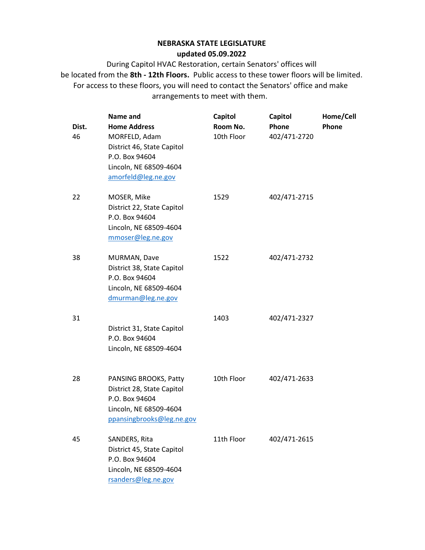| Dist.<br>46 | Name and<br><b>Home Address</b><br>MORFELD, Adam<br>District 46, State Capitol<br>P.O. Box 94604<br>Lincoln, NE 68509-4604<br>amorfeld@leg.ne.gov | Capitol<br>Room No.<br>10th Floor | Capitol<br>Phone<br>402/471-2720 | Home/Cell<br>Phone |
|-------------|---------------------------------------------------------------------------------------------------------------------------------------------------|-----------------------------------|----------------------------------|--------------------|
| 22          | MOSER, Mike<br>District 22, State Capitol<br>P.O. Box 94604<br>Lincoln, NE 68509-4604<br>mmoser@leg.ne.gov                                        | 1529                              | 402/471-2715                     |                    |
| 38          | MURMAN, Dave<br>District 38, State Capitol<br>P.O. Box 94604<br>Lincoln, NE 68509-4604<br>dmurman@leg.ne.gov                                      | 1522                              | 402/471-2732                     |                    |
| 31          | District 31, State Capitol<br>P.O. Box 94604<br>Lincoln, NE 68509-4604                                                                            | 1403                              | 402/471-2327                     |                    |
| 28          | PANSING BROOKS, Patty<br>District 28, State Capitol<br>P.O. Box 94604<br>Lincoln, NE 68509-4604<br>ppansingbrooks@leg.ne.gov                      | 10th Floor                        | 402/471-2633                     |                    |
| 45          | SANDERS, Rita<br>District 45, State Capitol<br>P.O. Box 94604<br>Lincoln, NE 68509-4604<br>rsanders@leg.ne.gov                                    | 11th Floor                        | 402/471-2615                     |                    |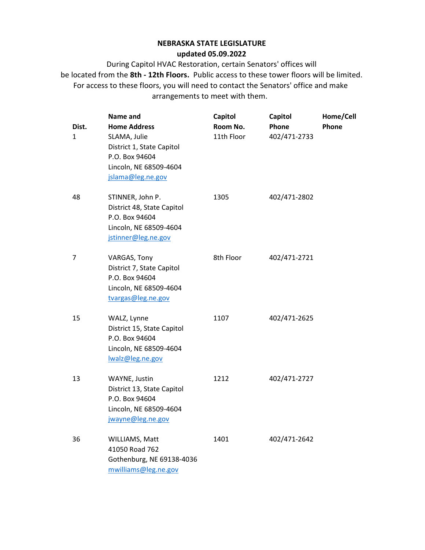| Dist.<br>1     | Name and<br><b>Home Address</b><br>SLAMA, Julie<br>District 1, State Capitol<br>P.O. Box 94604<br>Lincoln, NE 68509-4604<br>jslama@leg.ne.gov | Capitol<br>Room No.<br>11th Floor | Capitol<br>Phone<br>402/471-2733 | Home/Cell<br>Phone |
|----------------|-----------------------------------------------------------------------------------------------------------------------------------------------|-----------------------------------|----------------------------------|--------------------|
| 48             | STINNER, John P.<br>District 48, State Capitol<br>P.O. Box 94604<br>Lincoln, NE 68509-4604<br>jstinner@leg.ne.gov                             | 1305                              | 402/471-2802                     |                    |
| $\overline{7}$ | VARGAS, Tony<br>District 7, State Capitol<br>P.O. Box 94604<br>Lincoln, NE 68509-4604<br>tvargas@leg.ne.gov                                   | 8th Floor                         | 402/471-2721                     |                    |
| 15             | WALZ, Lynne<br>District 15, State Capitol<br>P.O. Box 94604<br>Lincoln, NE 68509-4604<br>lwalz@leg.ne.gov                                     | 1107                              | 402/471-2625                     |                    |
| 13             | WAYNE, Justin<br>District 13, State Capitol<br>P.O. Box 94604<br>Lincoln, NE 68509-4604<br>jwayne@leg.ne.gov                                  | 1212                              | 402/471-2727                     |                    |
| 36             | WILLIAMS, Matt<br>41050 Road 762<br>Gothenburg, NE 69138-4036<br>mwilliams@leg.ne.gov                                                         | 1401                              | 402/471-2642                     |                    |